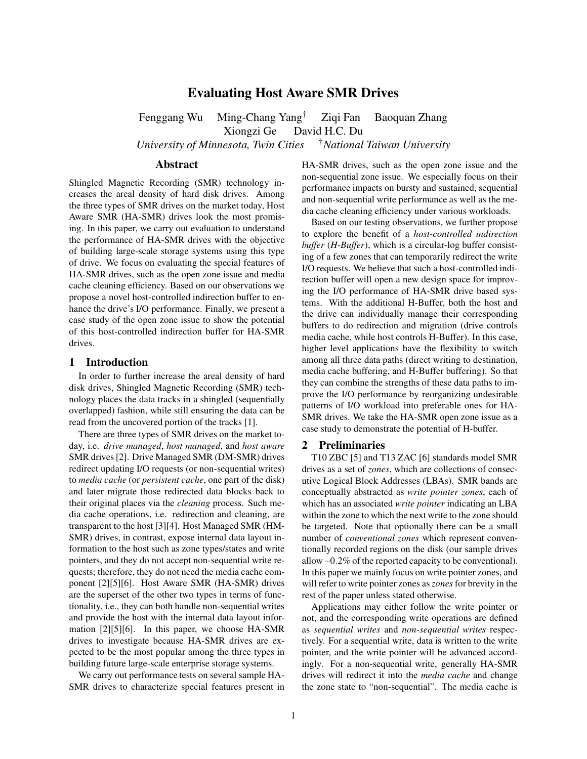# Evaluating Host Aware SMR Drives

Fenggang Wu Ming-Chang Yang† Ziqi Fan Baoquan Zhang Xiongzi Ge David H.C. Du *University of Minnesota, Twin Cities* †*National Taiwan University*

## Abstract

Shingled Magnetic Recording (SMR) technology increases the areal density of hard disk drives. Among the three types of SMR drives on the market today, Host Aware SMR (HA-SMR) drives look the most promising. In this paper, we carry out evaluation to understand the performance of HA-SMR drives with the objective of building large-scale storage systems using this type of drive. We focus on evaluating the special features of HA-SMR drives, such as the open zone issue and media cache cleaning efficiency. Based on our observations we propose a novel host-controlled indirection buffer to enhance the drive's I/O performance. Finally, we present a case study of the open zone issue to show the potential of this host-controlled indirection buffer for HA-SMR drives.

## 1 Introduction

In order to further increase the areal density of hard disk drives, Shingled Magnetic Recording (SMR) technology places the data tracks in a shingled (sequentially overlapped) fashion, while still ensuring the data can be read from the uncovered portion of the tracks [1].

There are three types of SMR drives on the market today, i.e. *drive managed*, *host managed*, and *host aware* SMR drives [2]. Drive Managed SMR (DM-SMR) drives redirect updating I/O requests (or non-sequential writes) to *media cache* (or *persistent cache*, one part of the disk) and later migrate those redirected data blocks back to their original places via the *cleaning* process. Such media cache operations, i.e. redirection and cleaning, are transparent to the host [3][4]. Host Managed SMR (HM-SMR) drives, in contrast, expose internal data layout information to the host such as zone types/states and write pointers, and they do not accept non-sequential write requests; therefore, they do not need the media cache component [2][5][6]. Host Aware SMR (HA-SMR) drives are the superset of the other two types in terms of functionality, i.e., they can both handle non-sequential writes and provide the host with the internal data layout information [2][5][6]. In this paper, we choose HA-SMR drives to investigate because HA-SMR drives are expected to be the most popular among the three types in building future large-scale enterprise storage systems.

We carry out performance tests on several sample HA-SMR drives to characterize special features present in HA-SMR drives, such as the open zone issue and the non-sequential zone issue. We especially focus on their performance impacts on bursty and sustained, sequential and non-sequential write performance as well as the media cache cleaning efficiency under various workloads.

Based on our testing observations, we further propose to explore the benefit of a *host-controlled indirection buffer* (*H-Buffer*), which is a circular-log buffer consisting of a few zones that can temporarily redirect the write I/O requests. We believe that such a host-controlled indirection buffer will open a new design space for improving the I/O performance of HA-SMR drive based systems. With the additional H-Buffer, both the host and the drive can individually manage their corresponding buffers to do redirection and migration (drive controls media cache, while host controls H-Buffer). In this case, higher level applications have the flexibility to switch among all three data paths (direct writing to destination, media cache buffering, and H-Buffer buffering). So that they can combine the strengths of these data paths to improve the I/O performance by reorganizing undesirable patterns of I/O workload into preferable ones for HA-SMR drives. We take the HA-SMR open zone issue as a case study to demonstrate the potential of H-buffer.

## 2 Preliminaries

T10 ZBC [5] and T13 ZAC [6] standards model SMR drives as a set of *zones*, which are collections of consecutive Logical Block Addresses (LBAs). SMR bands are conceptually abstracted as *write pointer zones*, each of which has an associated *write pointer* indicating an LBA within the zone to which the next write to the zone should be targeted. Note that optionally there can be a small number of *conventional zones* which represent conventionally recorded regions on the disk (our sample drives allow ∼0.2% of the reported capacity to be conventional). In this paper we mainly focus on write pointer zones, and will refer to write pointer zones as*zones*for brevity in the rest of the paper unless stated otherwise.

Applications may either follow the write pointer or not, and the corresponding write operations are defined as *sequential writes* and *non-sequential writes* respectively. For a sequential write, data is written to the write pointer, and the write pointer will be advanced accordingly. For a non-sequential write, generally HA-SMR drives will redirect it into the *media cache* and change the zone state to "non-sequential". The media cache is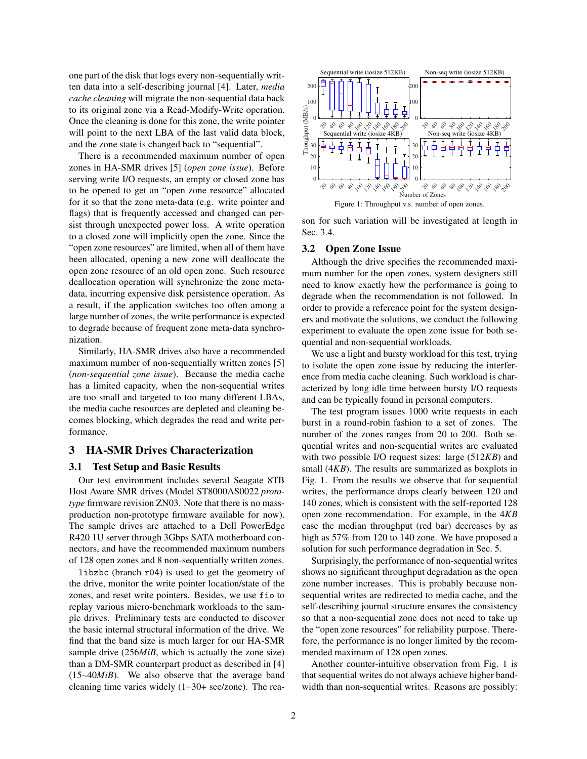one part of the disk that logs every non-sequentially written data into a self-describing journal [4]. Later, *media cache cleaning* will migrate the non-sequential data back to its original zone via a Read-Modify-Write operation. Once the cleaning is done for this zone, the write pointer will point to the next LBA of the last valid data block, and the zone state is changed back to "sequential".

There is a recommended maximum number of open zones in HA-SMR drives [5] (*open zone issue*). Before serving write I/O requests, an empty or closed zone has to be opened to get an "open zone resource" allocated for it so that the zone meta-data (e.g. write pointer and flags) that is frequently accessed and changed can persist through unexpected power loss. A write operation to a closed zone will implicitly open the zone. Since the "open zone resources" are limited, when all of them have been allocated, opening a new zone will deallocate the open zone resource of an old open zone. Such resource deallocation operation will synchronize the zone metadata, incurring expensive disk persistence operation. As a result, if the application switches too often among a large number of zones, the write performance is expected to degrade because of frequent zone meta-data synchronization.

Similarly, HA-SMR drives also have a recommended maximum number of non-sequentially written zones [5] (*non-sequential zone issue*). Because the media cache has a limited capacity, when the non-sequential writes are too small and targeted to too many different LBAs, the media cache resources are depleted and cleaning becomes blocking, which degrades the read and write performance.

## 3 HA-SMR Drives Characterization

### 3.1 Test Setup and Basic Results

Our test environment includes several Seagate 8TB Host Aware SMR drives (Model ST8000AS0022 *prototype* firmware revision ZN03. Note that there is no massproduction non-prototype firmware available for now). The sample drives are attached to a Dell PowerEdge R420 1U server through 3Gbps SATA motherboard connectors, and have the recommended maximum numbers of 128 open zones and 8 non-sequentially written zones.

libzbc (branch r04) is used to get the geometry of the drive, monitor the write pointer location/state of the zones, and reset write pointers. Besides, we use fio to replay various micro-benchmark workloads to the sample drives. Preliminary tests are conducted to discover the basic internal structural information of the drive. We find that the band size is much larger for our HA-SMR sample drive (256*MiB*, which is actually the zone size) than a DM-SMR counterpart product as described in [4] (15∼40*MiB*). We also observe that the average band cleaning time varies widely (1∼30+ sec/zone). The rea-



son for such variation will be investigated at length in Sec. 3.4.

#### 3.2 Open Zone Issue

Although the drive specifies the recommended maximum number for the open zones, system designers still need to know exactly how the performance is going to degrade when the recommendation is not followed. In order to provide a reference point for the system designers and motivate the solutions, we conduct the following experiment to evaluate the open zone issue for both sequential and non-sequential workloads.

We use a light and bursty workload for this test, trying to isolate the open zone issue by reducing the interference from media cache cleaning. Such workload is characterized by long idle time between bursty I/O requests and can be typically found in personal computers.

The test program issues 1000 write requests in each burst in a round-robin fashion to a set of zones. The number of the zones ranges from 20 to 200. Both sequential writes and non-sequential writes are evaluated with two possible I/O request sizes: large (512*KB*) and small (4*KB*). The results are summarized as boxplots in Fig. 1. From the results we observe that for sequential writes, the performance drops clearly between 120 and 140 zones, which is consistent with the self-reported 128 open zone recommendation. For example, in the 4*KB* case the median throughput (red bar) decreases by as high as 57% from 120 to 140 zone. We have proposed a solution for such performance degradation in Sec. 5.

Surprisingly, the performance of non-sequential writes shows no significant throughput degradation as the open zone number increases. This is probably because nonsequential writes are redirected to media cache, and the self-describing journal structure ensures the consistency so that a non-sequential zone does not need to take up the "open zone resources" for reliability purpose. Therefore, the performance is no longer limited by the recommended maximum of 128 open zones.

Another counter-intuitive observation from Fig. 1 is that sequential writes do not always achieve higher bandwidth than non-sequential writes. Reasons are possibly: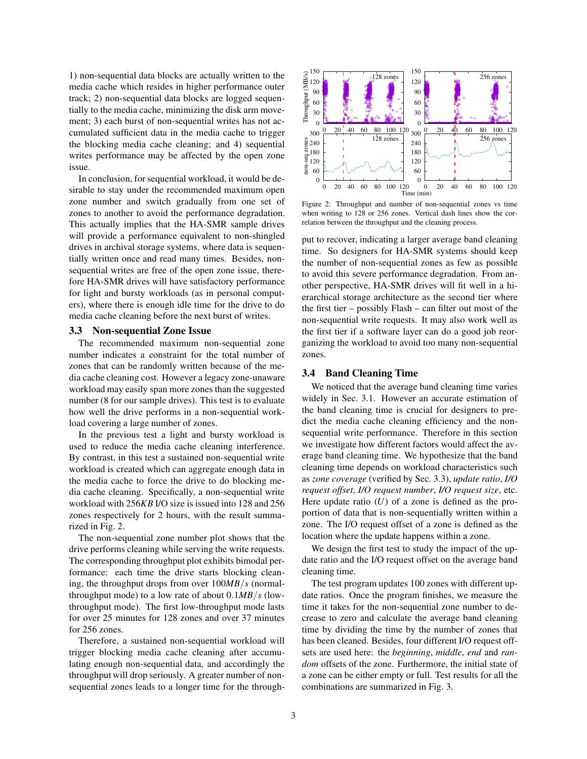1) non-sequential data blocks are actually written to the media cache which resides in higher performance outer track; 2) non-sequential data blocks are logged sequentially to the media cache, minimizing the disk arm movement; 3) each burst of non-sequential writes has not accumulated sufficient data in the media cache to trigger the blocking media cache cleaning; and 4) sequential writes performance may be affected by the open zone issue.

In conclusion, for sequential workload, it would be desirable to stay under the recommended maximum open zone number and switch gradually from one set of zones to another to avoid the performance degradation. This actually implies that the HA-SMR sample drives will provide a performance equivalent to non-shingled drives in archival storage systems, where data is sequentially written once and read many times. Besides, nonsequential writes are free of the open zone issue, therefore HA-SMR drives will have satisfactory performance for light and bursty workloads (as in personal computers), where there is enough idle time for the drive to do media cache cleaning before the next burst of writes.

## 3.3 Non-sequential Zone Issue

The recommended maximum non-sequential zone number indicates a constraint for the total number of zones that can be randomly written because of the media cache cleaning cost. However a legacy zone-unaware workload may easily span more zones than the suggested number (8 for our sample drives). This test is to evaluate how well the drive performs in a non-sequential workload covering a large number of zones.

In the previous test a light and bursty workload is used to reduce the media cache cleaning interference. By contrast, in this test a sustained non-sequential write workload is created which can aggregate enough data in the media cache to force the drive to do blocking media cache cleaning. Specifically, a non-sequential write workload with 256*KB* I/O size is issued into 128 and 256 zones respectively for 2 hours, with the result summarized in Fig. 2.

The non-sequential zone number plot shows that the drive performs cleaning while serving the write requests. The corresponding throughput plot exhibits bimodal performance: each time the drive starts blocking cleaning, the throughput drops from over 100*MB*/*s* (normalthroughput mode) to a low rate of about 0.1*MB*/*s* (lowthroughput mode). The first low-throughput mode lasts for over 25 minutes for 128 zones and over 37 minutes for 256 zones.

Therefore, a sustained non-sequential workload will trigger blocking media cache cleaning after accumulating enough non-sequential data, and accordingly the throughput will drop seriously. A greater number of nonsequential zones leads to a longer time for the through-



Figure 2: Throughput and number of non-sequential zones vs time when writing to 128 or 256 zones. Vertical dash lines show the correlation between the throughput and the cleaning process.

put to recover, indicating a larger average band cleaning time. So designers for HA-SMR systems should keep the number of non-sequential zones as few as possible to avoid this severe performance degradation. From another perspective, HA-SMR drives will fit well in a hierarchical storage architecture as the second tier where the first tier – possibly Flash – can filter out most of the non-sequential write requests. It may also work well as the first tier if a software layer can do a good job reorganizing the workload to avoid too many non-sequential zones.

### 3.4 Band Cleaning Time

We noticed that the average band cleaning time varies widely in Sec. 3.1. However an accurate estimation of the band cleaning time is crucial for designers to predict the media cache cleaning efficiency and the nonsequential write performance. Therefore in this section we investigate how different factors would affect the average band cleaning time. We hypothesize that the band cleaning time depends on workload characteristics such as *zone coverage* (verified by Sec. 3.3), *update ratio*, *I/O request offset*, *I/O request number*, *I/O request size*, etc. Here update ratio  $(U)$  of a zone is defined as the proportion of data that is non-sequentially written within a zone. The I/O request offset of a zone is defined as the location where the update happens within a zone.

We design the first test to study the impact of the update ratio and the I/O request offset on the average band cleaning time.

The test program updates 100 zones with different update ratios. Once the program finishes, we measure the time it takes for the non-sequential zone number to decrease to zero and calculate the average band cleaning time by dividing the time by the number of zones that has been cleaned. Besides, four different I/O request offsets are used here: the *beginning*, *middle*, *end* and *random* offsets of the zone. Furthermore, the initial state of a zone can be either empty or full. Test results for all the combinations are summarized in Fig. 3.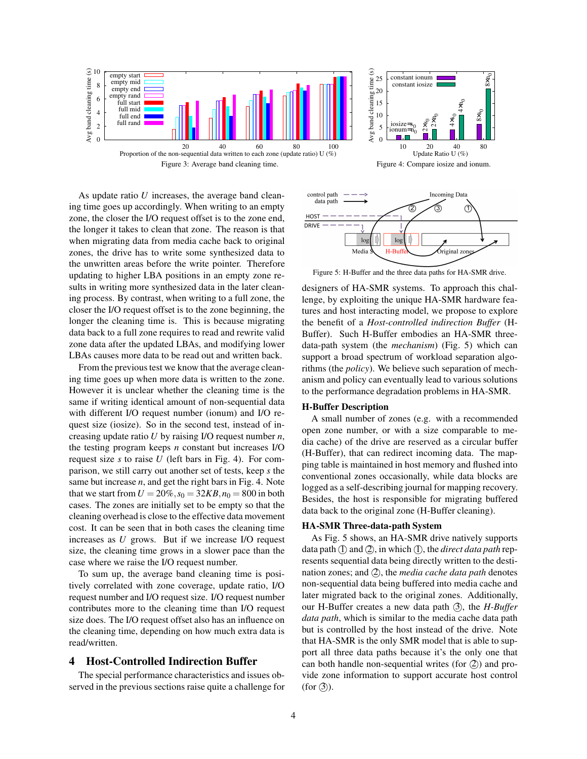



As update ratio *U* increases, the average band cleaning time goes up accordingly. When writing to an empty zone, the closer the I/O request offset is to the zone end, the longer it takes to clean that zone. The reason is that when migrating data from media cache back to original zones, the drive has to write some synthesized data to the unwritten areas before the write pointer. Therefore updating to higher LBA positions in an empty zone results in writing more synthesized data in the later cleaning process. By contrast, when writing to a full zone, the closer the I/O request offset is to the zone beginning, the longer the cleaning time is. This is because migrating data back to a full zone requires to read and rewrite valid zone data after the updated LBAs, and modifying lower LBAs causes more data to be read out and written back.

From the previous test we know that the average cleaning time goes up when more data is written to the zone. However it is unclear whether the cleaning time is the same if writing identical amount of non-sequential data with different I/O request number (ionum) and I/O request size (iosize). So in the second test, instead of increasing update ratio *U* by raising I/O request number *n*, the testing program keeps *n* constant but increases I/O request size *s* to raise *U* (left bars in Fig. 4). For comparison, we still carry out another set of tests, keep *s* the same but increase *n*, and get the right bars in Fig. 4. Note that we start from  $U = 20\%, s_0 = 32KB, n_0 = 800$  in both cases. The zones are initially set to be empty so that the cleaning overhead is close to the effective data movement cost. It can be seen that in both cases the cleaning time increases as *U* grows. But if we increase I/O request size, the cleaning time grows in a slower pace than the case where we raise the I/O request number.

To sum up, the average band cleaning time is positively correlated with zone coverage, update ratio, I/O request number and I/O request size. I/O request number contributes more to the cleaning time than I/O request size does. The I/O request offset also has an influence on the cleaning time, depending on how much extra data is read/written.

## 4 Host-Controlled Indirection Buffer

The special performance characteristics and issues observed in the previous sections raise quite a challenge for



Figure 5: H-Buffer and the three data paths for HA-SMR drive.

designers of HA-SMR systems. To approach this challenge, by exploiting the unique HA-SMR hardware features and host interacting model, we propose to explore the benefit of a *Host-controlled indirection Buffer* (H-Buffer). Such H-Buffer embodies an HA-SMR threedata-path system (the *mechanism*) (Fig. 5) which can support a broad spectrum of workload separation algorithms (the *policy*). We believe such separation of mechanism and policy can eventually lead to various solutions to the performance degradation problems in HA-SMR.

#### H-Buffer Description

A small number of zones (e.g. with a recommended open zone number, or with a size comparable to media cache) of the drive are reserved as a circular buffer (H-Buffer), that can redirect incoming data. The mapping table is maintained in host memory and flushed into conventional zones occasionally, while data blocks are logged as a self-describing journal for mapping recovery. Besides, the host is responsible for migrating buffered data back to the original zone (H-Buffer cleaning).

#### HA-SMR Three-data-path System

As Fig. 5 shows, an HA-SMR drive natively supports data path (I) and (2), in which (I), the *direct data path* represents sequential data being directly written to the destination zones; and (2), the *media cache data path* denotes non-sequential data being buffered into media cache and later migrated back to the original zones. Additionally, our H-Buffer creates a new data path (3), the *H-Buffer data path*, which is similar to the media cache data path but is controlled by the host instead of the drive. Note that HA-SMR is the only SMR model that is able to support all three data paths because it's the only one that can both handle non-sequential writes (for  $(2)$ ) and provide zone information to support accurate host control  $(for(3))$ .